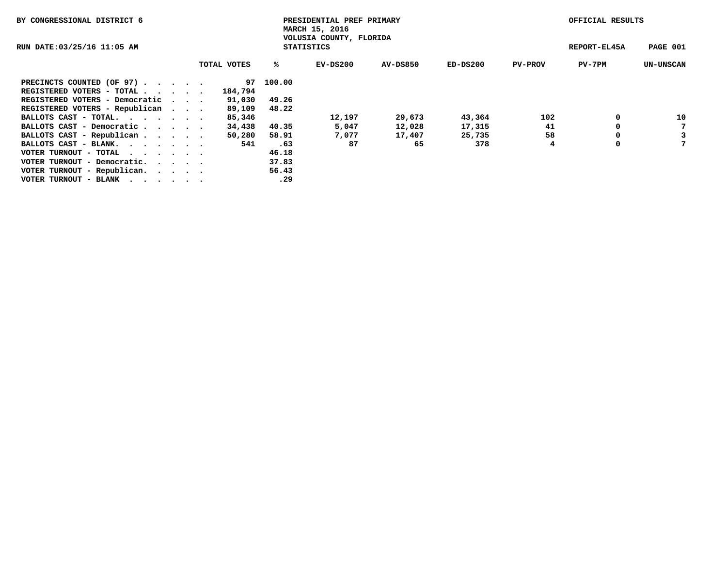| BY CONGRESSIONAL DISTRICT 6    | PRESIDENTIAL PREF PRIMARY<br>MARCH 15, 2016 |  |                                              |           |          |          |          | OFFICIAL RESULTS |              |                  |  |
|--------------------------------|---------------------------------------------|--|----------------------------------------------|-----------|----------|----------|----------|------------------|--------------|------------------|--|
| RUN DATE:03/25/16 11:05 AM     |                                             |  | VOLUSIA COUNTY, FLORIDA<br><b>STATISTICS</b> |           |          |          |          |                  | REPORT-EL45A | PAGE 001         |  |
|                                |                                             |  | TOTAL VOTES                                  | ‱         | EV-DS200 | AV-DS850 | ED-DS200 | <b>PV-PROV</b>   | PV-7PM       | <b>UN-UNSCAN</b> |  |
| PRECINCTS COUNTED (OF 97)      |                                             |  |                                              | 97 100.00 |          |          |          |                  |              |                  |  |
| REGISTERED VOTERS - TOTAL      |                                             |  | 184,794                                      |           |          |          |          |                  |              |                  |  |
| REGISTERED VOTERS - Democratic |                                             |  | 91,030                                       | 49.26     |          |          |          |                  |              |                  |  |
| REGISTERED VOTERS - Republican |                                             |  | 89,109                                       | 48.22     |          |          |          |                  |              |                  |  |
| BALLOTS CAST - TOTAL.          |                                             |  | 85,346                                       |           | 12,197   | 29,673   | 43,364   | 102              | 0            | 10               |  |
| BALLOTS CAST - Democratic      |                                             |  | 34,438                                       | 40.35     | 5,047    | 12,028   | 17,315   | 41               | 0            | 7                |  |
| BALLOTS CAST - Republican      |                                             |  | 50,280                                       | 58.91     | 7,077    | 17,407   | 25,735   | 58               | 0            | 3                |  |
| BALLOTS CAST - BLANK.          |                                             |  | 541                                          | .63       | 87       | 65       | 378      | 4                | 0            |                  |  |
| VOTER TURNOUT - TOTAL<br>.     |                                             |  |                                              | 46.18     |          |          |          |                  |              |                  |  |
| VOTER TURNOUT - Democratic.    |                                             |  |                                              | 37.83     |          |          |          |                  |              |                  |  |
| VOTER TURNOUT - Republican.    |                                             |  |                                              | 56.43     |          |          |          |                  |              |                  |  |
| VOTER TURNOUT - BLANK          |                                             |  |                                              | .29       |          |          |          |                  |              |                  |  |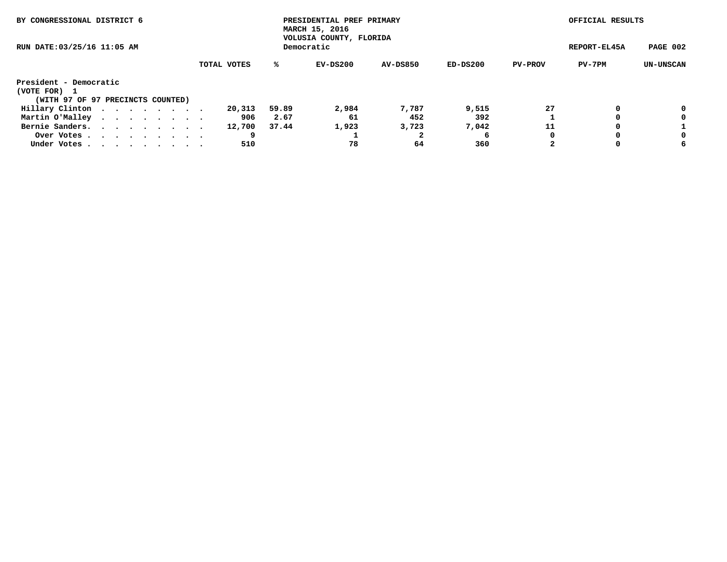| BY CONGRESSIONAL DISTRICT 6                                                                                               |             |              | PRESIDENTIAL PREF PRIMARY<br>MARCH 15, 2016<br>VOLUSIA COUNTY, FLORIDA |          |          |                | OFFICIAL RESULTS |                  |
|---------------------------------------------------------------------------------------------------------------------------|-------------|--------------|------------------------------------------------------------------------|----------|----------|----------------|------------------|------------------|
| RUN DATE: 03/25/16 11:05 AM                                                                                               |             | REPORT-EL45A | PAGE 002                                                               |          |          |                |                  |                  |
|                                                                                                                           | TOTAL VOTES | ℁            | EV-DS200                                                               | AV-DS850 | ED-DS200 | <b>PV-PROV</b> | PV-7PM           | <b>UN-UNSCAN</b> |
| President - Democratic                                                                                                    |             |              |                                                                        |          |          |                |                  |                  |
| (VOTE FOR)                                                                                                                |             |              |                                                                        |          |          |                |                  |                  |
| (WITH 97 OF 97 PRECINCTS COUNTED)                                                                                         |             |              |                                                                        |          |          |                |                  |                  |
| Hillary Clinton                                                                                                           | 20,313      | 59.89        | 2,984                                                                  | 7,787    | 9,515    | 27             | 0                | 0                |
| Martin O'Malley                                                                                                           | 906         | 2.67         | 61                                                                     | 452      | 392      |                |                  | 0                |
| Bernie Sanders.<br>$\mathbf{r}$ , $\mathbf{r}$ , $\mathbf{r}$ , $\mathbf{r}$ , $\mathbf{r}$ , $\mathbf{r}$ , $\mathbf{r}$ | 12,700      | 37.44        | 1,923                                                                  | 3,723    | 7,042    | 11             | 0                |                  |
| Over Votes                                                                                                                |             |              |                                                                        |          | 6        | 0              | 0                | 0                |
| Under Votes.                                                                                                              | 510         |              | 78                                                                     | 64       | 360      | 2              | 0                | 6                |